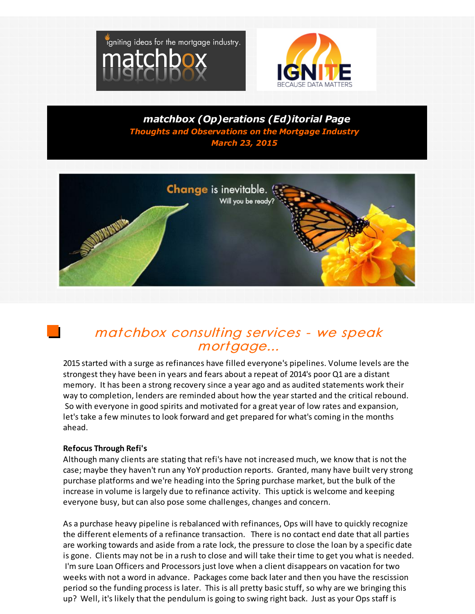



*matchbox (Op)erations (Ed)itorial Page Thoughts and Observations on the Mortgage Industry March 23, 2015*



## matchbox consulting services - we speak mortgage...

2015 started with a surge as refinances have filled everyone's pipelines. Volume levels are the strongest they have been in years and fears about a repeat of 2014's poor Q1 are a distant memory. It has been a strong recovery since a year ago and as audited statements work their way to completion, lenders are reminded about how the year started and the critical rebound. So with everyone in good spirits and motivated for a great year of low rates and expansion, let's take a few minutes to look forward and get prepared for what's coming in the months ahead.

## **Refocus Through Refi's**

Although many clients are stating that refi's have not increased much, we know that is not the case; maybe they haven't run any YoY production reports. Granted, many have built very strong purchase platforms and we're heading into the Spring purchase market, but the bulk of the increase in volume is largely due to refinance activity. This uptick is welcome and keeping everyone busy, but can also pose some challenges, changes and concern.

As a purchase heavy pipeline is rebalanced with refinances, Ops will have to quickly recognize the different elements of a refinance transaction. There is no contact end date that all parties are working towards and aside from a rate lock, the pressure to close the loan by a specific date is gone. Clients may not be in a rush to close and will take their time to get you what is needed. I'm sure Loan Officers and Processors just love when a client disappears on vacation for two weeks with not a word in advance. Packages come back later and then you have the rescission period so the funding process is later. This is all pretty basic stuff, so why are we bringing this up? Well, it's likely that the pendulum is going to swing right back. Just as your Ops staff is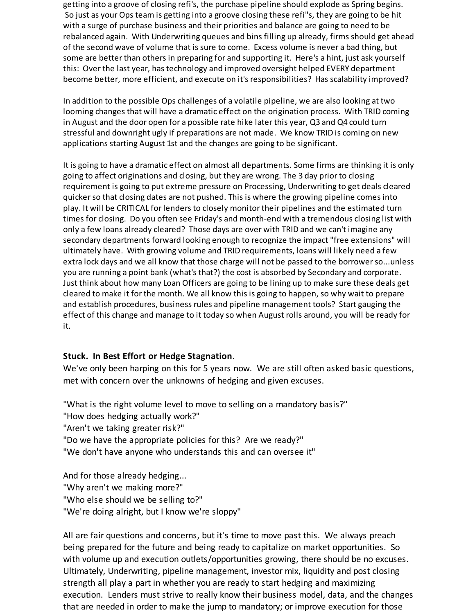getting into a groove of closing refi's, the purchase pipeline should explode as Spring begins. So just as your Ops team is getting into a groove closing these refi"s, they are going to be hit with a surge of purchase business and their priorities and balance are going to need to be rebalanced again. With Underwriting queues and bins filling up already, firms should get ahead of the second wave of volume that is sure to come. Excess volume is never a bad thing, but some are better than others in preparing for and supporting it. Here's a hint, just ask yourself this: Over the last year, has technology and improved oversight helped EVERY department become better, more efficient, and execute on it's responsibilities? Has scalability improved?

In addition to the possible Ops challenges of a volatile pipeline, we are also looking at two looming changes that will have a dramatic effect on the origination process. With TRID coming in August and the door open for a possible rate hike later this year, Q3 and Q4 could turn stressful and downright ugly if preparations are not made. We know TRID is coming on new applications starting August 1st and the changes are going to be significant.

It is going to have a dramatic effect on almost all departments. Some firms are thinking it is only going to affect originations and closing, but they are wrong. The 3 day prior to closing requirement is going to put extreme pressure on Processing, Underwriting to get deals cleared quicker so that closing dates are not pushed. This is where the growing pipeline comes into play. It will be CRITICAL for lenders to closely monitor their pipelines and the estimated turn times for closing. Do you often see Friday's and month-end with a tremendous closing list with only a few loans already cleared? Those days are over with TRID and we can't imagine any secondary departments forward looking enough to recognize the impact "free extensions" will ultimately have. With growing volume and TRID requirements, loans will likely need a few extra lock days and we all know that those charge will not be passed to the borrower so...unless you are running a point bank (what's that?) the cost is absorbed by Secondary and corporate. Just think about how many Loan Officers are going to be lining up to make sure these deals get cleared to make it for the month. We all know this is going to happen, so why wait to prepare and establish procedures, business rules and pipeline management tools? Start gauging the effect of this change and manage to it today so when August rolls around, you will be ready for it.

## **Stuck. In Best Effort or Hedge Stagnation**.

We've only been harping on this for 5 years now. We are still often asked basic questions, met with concern over the unknowns of hedging and given excuses.

"What is the right volume level to move to selling on a mandatory basis?"

- "How does hedging actually work?"
- "Aren't we taking greater risk?"
- "Do we have the appropriate policies for this? Are we ready?"
- "We don't have anyone who understands this and can oversee it"

And for those already hedging... "Why aren't we making more?" "Who else should we be selling to?" "We're doing alright, but I know we're sloppy"

All are fair questions and concerns, but it's time to move past this. We always preach being prepared for the future and being ready to capitalize on market opportunities. So with volume up and execution outlets/opportunities growing, there should be no excuses. Ultimately, Underwriting, pipeline management, investor mix, liquidity and post closing strength all play a part in whether you are ready to start hedging and maximizing execution. Lenders must strive to really know their business model, data, and the changes that are needed in order to make the jump to mandatory; or improve execution for those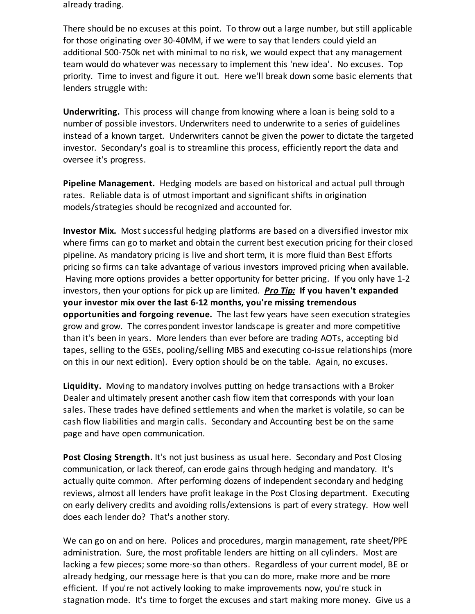already trading.

There should be no excuses at this point. To throw out a large number, but still applicable for those originating over 30-40MM, if we were to say that lenders could yield an additional 500-750k net with minimal to no risk, we would expect that any management team would do whatever was necessary to implement this 'new idea'. No excuses. Top priority. Time to invest and figure it out. Here we'll break down some basic elements that lenders struggle with:

**Underwriting.** This process will change from knowing where a loan is being sold to a number of possible investors. Underwriters need to underwrite to a series of guidelines instead of a known target. Underwriters cannot be given the power to dictate the targeted investor. Secondary's goal is to streamline this process, efficiently report the data and oversee it's progress.

**Pipeline Management.** Hedging models are based on historical and actual pull through rates. Reliable data is of utmost important and significant shifts in origination models/strategies should be recognized and accounted for.

**Investor Mix.** Most successful hedging platforms are based on a diversified investor mix where firms can go to market and obtain the current best execution pricing for their closed pipeline. As mandatory pricing is live and short term, it is more fluid than Best Efforts pricing so firms can take advantage of various investors improved pricing when available. Having more options provides a better opportunity for better pricing. If you only have 1-2 investors, then your options for pick up are limited. *Pro Tip:* **If you haven't expanded your investor mix over the last 6-12 months, you're missing tremendous opportunities and forgoing revenue.** The last few years have seen execution strategies grow and grow. The correspondent investor landscape is greater and more competitive than it's been in years. More lenders than ever before are trading AOTs, accepting bid tapes, selling to the GSEs, pooling/selling MBS and executing co-issue relationships (more on this in our next edition). Every option should be on the table. Again, no excuses.

**Liquidity.** Moving to mandatory involves putting on hedge transactions with a Broker Dealer and ultimately present another cash flow item that corresponds with your loan sales. These trades have defined settlements and when the market is volatile, so can be cash flow liabilities and margin calls. Secondary and Accounting best be on the same page and have open communication.

**Post Closing Strength.** It's not just business as usual here. Secondary and Post Closing communication, or lack thereof, can erode gains through hedging and mandatory. It's actually quite common. After performing dozens of independent secondary and hedging reviews, almost all lenders have profit leakage in the Post Closing department. Executing on early delivery credits and avoiding rolls/extensions is part of every strategy. How well does each lender do? That's another story.

We can go on and on here. Polices and procedures, margin management, rate sheet/PPE administration. Sure, the most profitable lenders are hitting on all cylinders. Most are lacking a few pieces; some more-so than others. Regardless of your current model, BE or already hedging, our message here is that you can do more, make more and be more efficient. If you're not actively looking to make improvements now, you're stuck in stagnation mode. It's time to forget the excuses and start making more money. Give us a